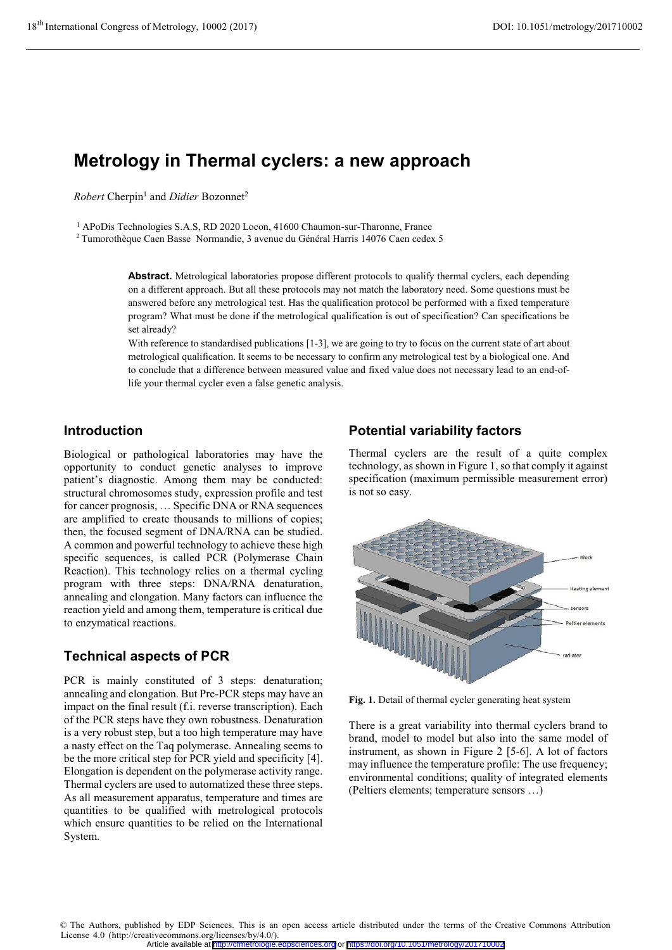# **Metrology in Thermal cyclers: a new approach**

 $Robert$  Cherpin<sup>1</sup> and *Didier* Bozonnet<sup>2</sup>

<sup>1</sup> APoDis Technologies S.A.S, RD 2020 Locon, 41600 Chaumon-sur-Tharonne, France

2 Tumorothèque Caen Basse Normandie, 3 avenue du Général Harris 14076 Caen cedex 5

**Abstract.** Metrological laboratories propose different protocols to qualify thermal cyclers, each depending on a different approach. But all these protocols may not match the laboratory need. Some questions must be answered before any metrological test. Has the qualification protocol be performed with a fixed temperature program? What must be done if the metrological qualification is out of specification? Can specifications be set already?

With reference to standardised publications [1-3], we are going to try to focus on the current state of art about metrological qualification. It seems to be necessary to confirm any metrological test by a biological one. And to conclude that a difference between measured value and fixed value does not necessary lead to an end-oflife your thermal cycler even a false genetic analysis.

#### **Introduction**

Biological or pathological laboratories may have the opportunity to conduct genetic analyses to improve patient's diagnostic. Among them may be conducted: structural chromosomes study, expression profile and test for cancer prognosis, … Specific DNA or RNA sequences are amplified to create thousands to millions of copies; then, the focused segment of DNA/RNA can be studied. A common and powerful technology to achieve these high specific sequences, is called PCR (Polymerase Chain Reaction). This technology relies on a thermal cycling program with three steps: DNA/RNA denaturation, annealing and elongation. Many factors can influence the reaction yield and among them, temperature is critical due to enzymatical reactions.

# **Technical aspects of PCR**

PCR is mainly constituted of 3 steps: denaturation; annealing and elongation. But Pre-PCR steps may have an impact on the final result (f.i. reverse transcription). Each of the PCR steps have they own robustness. Denaturation is a very robust step, but a too high temperature may have a nasty effect on the Taq polymerase. Annealing seems to be the more critical step for PCR yield and specificity [4]. Elongation is dependent on the polymerase activity range. Thermal cyclers are used to automatized these three steps. As all measurement apparatus, temperature and times are quantities to be qualified with metrological protocols which ensure quantities to be relied on the International System.

# **Potential variability factors**

Thermal cyclers are the result of a quite complex technology, as shown in Figure 1, so that comply it against specification (maximum permissible measurement error) is not so easy.



**Fig. 1.** Detail of thermal cycler generating heat system

There is a great variability into thermal cyclers brand to brand, model to model but also into the same model of instrument, as shown in Figure 2 [5-6]. A lot of factors may influence the temperature profile: The use frequency; environmental conditions; quality of integrated elements (Peltiers elements; temperature sensors …)

© The Authors, published by EDP Sciences. This is an open access article distributed under the terms of the Creative Commons Attribution License 4.0 (http://creativecommons.org/licenses/by/4.0/). Article available at <http://cfmetrologie.edpsciences.org> or <https://doi.org/10.1051/metrology/201710002>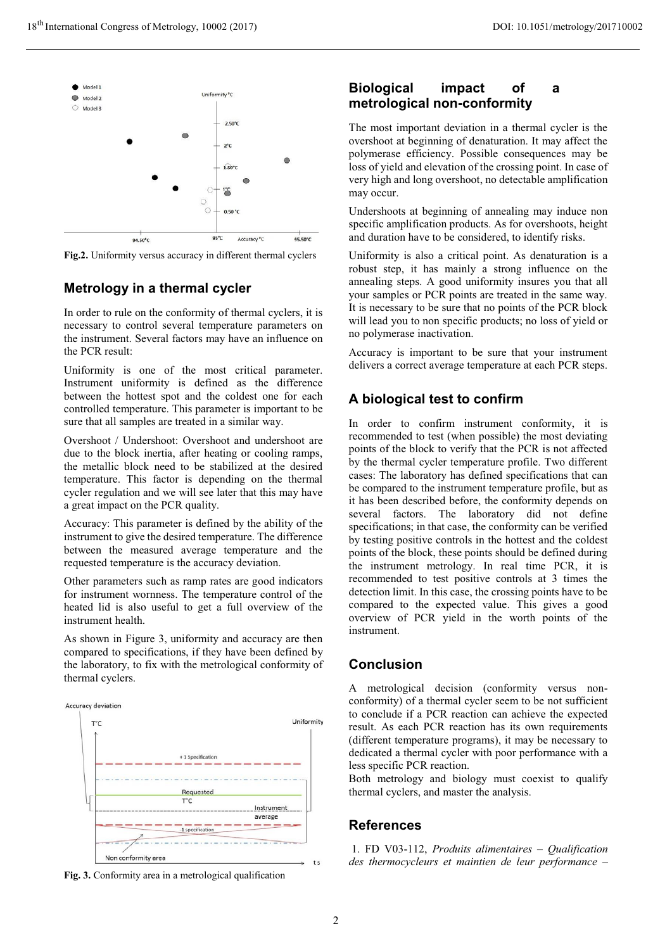

**Fig.2.** Uniformity versus accuracy in different thermal cyclers

## **Metrology in a thermal cycler**

In order to rule on the conformity of thermal cyclers, it is necessary to control several temperature parameters on the instrument. Several factors may have an influence on the PCR result:

Uniformity is one of the most critical parameter. Instrument uniformity is defined as the difference between the hottest spot and the coldest one for each controlled temperature. This parameter is important to be sure that all samples are treated in a similar way.

Overshoot / Undershoot: Overshoot and undershoot are due to the block inertia, after heating or cooling ramps, the metallic block need to be stabilized at the desired temperature. This factor is depending on the thermal cycler regulation and we will see later that this may have a great impact on the PCR quality.

Accuracy: This parameter is defined by the ability of the instrument to give the desired temperature. The difference between the measured average temperature and the requested temperature is the accuracy deviation.

Other parameters such as ramp rates are good indicators for instrument wornness. The temperature control of the heated lid is also useful to get a full overview of the instrument health.

As shown in Figure 3, uniformity and accuracy are then compared to specifications, if they have been defined by the laboratory, to fix with the metrological conformity of thermal cyclers.



**Fig. 3.** Conformity area in a metrological qualification

## **Biological impact of a metrological non-conformity**

The most important deviation in a thermal cycler is the overshoot at beginning of denaturation. It may affect the polymerase efficiency. Possible consequences may be loss of yield and elevation of the crossing point. In case of very high and long overshoot, no detectable amplification may occur.

Undershoots at beginning of annealing may induce non specific amplification products. As for overshoots, height and duration have to be considered, to identify risks.

Uniformity is also a critical point. As denaturation is a robust step, it has mainly a strong influence on the annealing steps. A good uniformity insures you that all your samples or PCR points are treated in the same way. It is necessary to be sure that no points of the PCR block will lead you to non specific products; no loss of yield or no polymerase inactivation.

Accuracy is important to be sure that your instrument delivers a correct average temperature at each PCR steps.

# **A biological test to confirm**

In order to confirm instrument conformity, it is recommended to test (when possible) the most deviating points of the block to verify that the PCR is not affected by the thermal cycler temperature profile. Two different cases: The laboratory has defined specifications that can be compared to the instrument temperature profile, but as it has been described before, the conformity depends on several factors. The laboratory did not define specifications; in that case, the conformity can be verified by testing positive controls in the hottest and the coldest points of the block, these points should be defined during the instrument metrology. In real time PCR, it is recommended to test positive controls at 3 times the detection limit. In this case, the crossing points have to be compared to the expected value. This gives a good overview of PCR yield in the worth points of the instrument.

## **Conclusion**

A metrological decision (conformity versus nonconformity) of a thermal cycler seem to be not sufficient to conclude if a PCR reaction can achieve the expected result. As each PCR reaction has its own requirements (different temperature programs), it may be necessary to dedicated a thermal cycler with poor performance with a less specific PCR reaction.

Both metrology and biology must coexist to qualify thermal cyclers, and master the analysis.

# **References**

 1. FD V03-112, *Produits alimentaires – Qualification des thermocycleurs et maintien de leur performance –*